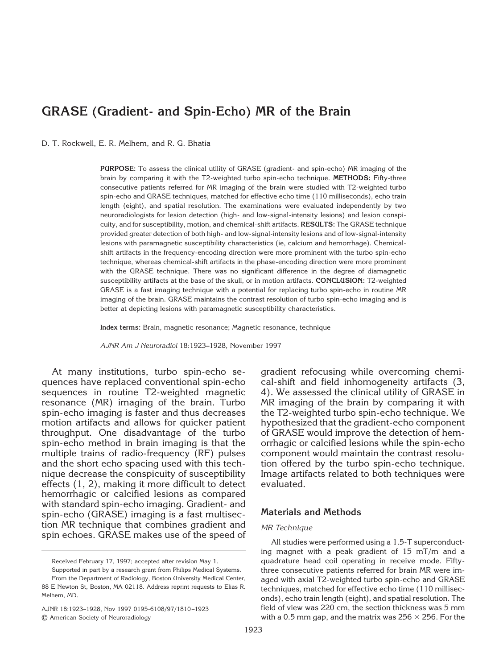# **GRASE (Gradient- and Spin-Echo) MR of the Brain**

D. T. Rockwell, E. R. Melhem, and R. G. Bhatia

**PURPOSE:** To assess the clinical utility of GRASE (gradient- and spin-echo) MR imaging of the brain by comparing it with the T2-weighted turbo spin-echo technique. **METHODS:** Fifty-three consecutive patients referred for MR imaging of the brain were studied with T2-weighted turbo spin-echo and GRASE techniques, matched for effective echo time (110 milliseconds), echo train length (eight), and spatial resolution. The examinations were evaluated independently by two neuroradiologists for lesion detection (high- and low-signal-intensity lesions) and lesion conspicuity, and for susceptibility, motion, and chemical-shift artifacts. **RESULTS:** The GRASE technique provided greater detection of both high- and low-signal-intensity lesions and of low-signal-intensity lesions with paramagnetic susceptibility characteristics (ie, calcium and hemorrhage). Chemicalshift artifacts in the frequency-encoding direction were more prominent with the turbo spin-echo technique, whereas chemical-shift artifacts in the phase-encoding direction were more prominent with the GRASE technique. There was no significant difference in the degree of diamagnetic susceptibility artifacts at the base of the skull, or in motion artifacts. **CONCLUSION:** T2-weighted GRASE is a fast imaging technique with a potential for replacing turbo spin-echo in routine MR imaging of the brain. GRASE maintains the contrast resolution of turbo spin-echo imaging and is better at depicting lesions with paramagnetic susceptibility characteristics.

**Index terms:** Brain, magnetic resonance; Magnetic resonance, technique

*AJNR Am J Neuroradiol* 18:1923–1928, November 1997

At many institutions, turbo spin-echo sequences have replaced conventional spin-echo sequences in routine T2-weighted magnetic resonance (MR) imaging of the brain. Turbo spin-echo imaging is faster and thus decreases motion artifacts and allows for quicker patient throughput. One disadvantage of the turbo spin-echo method in brain imaging is that the multiple trains of radio-frequency (RF) pulses and the short echo spacing used with this technique decrease the conspicuity of susceptibility effects (1, 2), making it more difficult to detect hemorrhagic or calcified lesions as compared with standard spin-echo imaging. Gradient- and spin-echo (GRASE) imaging is a fast multisection MR technique that combines gradient and spin echoes. GRASE makes use of the speed of

AJNR 18:1923–1928, Nov 1997 0195-6108/97/1810–1923 © American Society of Neuroradiology

gradient refocusing while overcoming chemical-shift and field inhomogeneity artifacts (3, 4). We assessed the clinical utility of GRASE in MR imaging of the brain by comparing it with the T2-weighted turbo spin-echo technique. We hypothesized that the gradient-echo component of GRASE would improve the detection of hemorrhagic or calcified lesions while the spin-echo component would maintain the contrast resolution offered by the turbo spin-echo technique. Image artifacts related to both techniques were evaluated.

### **Materials and Methods**

#### *MR Technique*

All studies were performed using a 1.5-T superconducting magnet with a peak gradient of 15 mT/m and a quadrature head coil operating in receive mode. Fiftythree consecutive patients referred for brain MR were imaged with axial T2-weighted turbo spin-echo and GRASE techniques, matched for effective echo time (110 milliseconds), echo train length (eight), and spatial resolution. The field of view was 220 cm, the section thickness was 5 mm with a 0.5 mm gap, and the matrix was  $256 \times 256$ . For the

Received February 17, 1997; accepted after revision May 1.

Supported in part by a research grant from Philips Medical Systems. From the Department of Radiology, Boston University Medical Center,

<sup>88</sup> E Newton St, Boston, MA 02118. Address reprint requests to Elias R. Melhem, MD.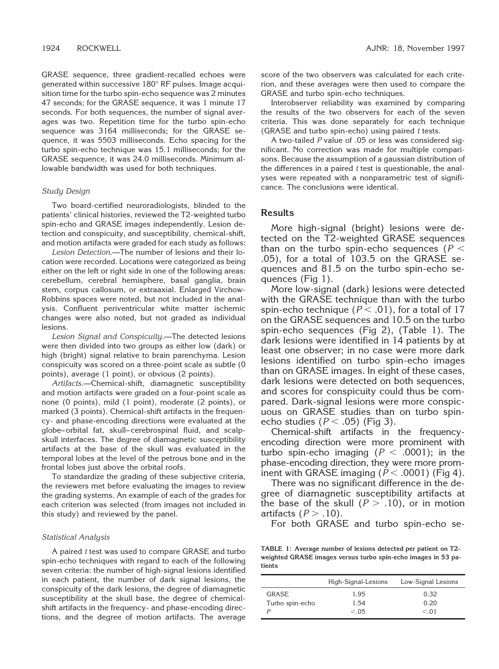GRASE sequence, three gradient-recalled echoes were generated within successive 180° RF pulses. Image acquisition time for the turbo spin-echo sequence was 2 minutes 47 seconds; for the GRASE sequence, it was 1 minute 17 seconds. For both sequences, the number of signal averages was two. Repetition time for the turbo spin-echo sequence was 3164 milliseconds; for the GRASE sequence, it was 5503 milliseconds. Echo spacing for the turbo spin-echo technique was 15.1 milliseconds; for the GRASE sequence, it was 24.0 milliseconds. Minimum allowable bandwidth was used for both techniques.

#### *Study Design*

Two board-certified neuroradiologists, blinded to the patients' clinical histories, reviewed the T2-weighted turbo spin-echo and GRASE images independently. Lesion detection and conspicuity, and susceptibility, chemical-shift, and motion artifacts were graded for each study as follows:

*Lesion Detection.*—The number of lesions and their location were recorded. Locations were categorized as being either on the left or right side in one of the following areas: cerebellum, cerebral hemisphere, basal ganglia, brain stem, corpus callosum, or extraaxial. Enlarged Virchow-Robbins spaces were noted, but not included in the analysis. Confluent periventricular white matter ischemic changes were also noted, but not graded as individual lesions.

*Lesion Signal and Conspicuity.*—The detected lesions were then divided into two groups as either low (dark) or high (bright) signal relative to brain parenchyma. Lesion conspicuity was scored on a three-point scale as subtle (0 points), average (1 point), or obvious (2 points).

*Artifacts.*—Chemical-shift, diamagnetic susceptibility and motion artifacts were graded on a four-point scale as none (0 points), mild (1 point), moderate (2 points), or marked (3 points). Chemical-shift artifacts in the frequency- and phase-encoding directions were evaluated at the globe–orbital fat, skull–cerebrospinal fluid, and scalpskull interfaces. The degree of diamagnetic susceptibility artifacts at the base of the skull was evaluated in the temporal lobes at the level of the petrous bone and in the frontal lobes just above the orbital roofs.

To standardize the grading of these subjective criteria, the reviewers met before evaluating the images to review the grading systems. An example of each of the grades for each criterion was selected (from images not included in this study) and reviewed by the panel.

#### *Statistical Analysis*

A paired *t* test was used to compare GRASE and turbo spin-echo techniques with regard to each of the following seven criteria: the number of high-signal lesions identified in each patient, the number of dark signal lesions, the conspicuity of the dark lesions, the degree of diamagnetic susceptibility at the skull base, the degree of chemicalshift artifacts in the frequency- and phase-encoding directions, and the degree of motion artifacts. The average score of the two observers was calculated for each criterion, and these averages were then used to compare the GRASE and turbo spin-echo techniques.

Interobserver reliability was examined by comparing the results of the two observers for each of the seven criteria. This was done separately for each technique (GRASE and turbo spin-echo) using paired *t* tests.

A two-tailed *P* value of .05 or less was considered significant. No correction was made for multiple comparisons. Because the assumption of a gaussian distribution of the differences in a paired *t* test is questionable, the analyses were repeated with a nonparametric test of significance. The conclusions were identical.

# **Results**

More high-signal (bright) lesions were detected on the T2-weighted GRASE sequences than on the turbo spin-echo sequences ( $P <$ .05), for a total of 103.5 on the GRASE sequences and 81.5 on the turbo spin-echo sequences (Fig 1).

More low-signal (dark) lesions were detected with the GRASE technique than with the turbo spin-echo technique  $(P < .01)$ , for a total of 17 on the GRASE sequences and 10.5 on the turbo spin-echo sequences (Fig 2), (Table 1). The dark lesions were identified in 14 patients by at least one observer; in no case were more dark lesions identified on turbo spin-echo images than on GRASE images. In eight of these cases, dark lesions were detected on both sequences, and scores for conspicuity could thus be compared. Dark-signal lesions were more conspicuous on GRASE studies than on turbo spinecho studies  $(P < .05)$  (Fig 3).

Chemical-shift artifacts in the frequencyencoding direction were more prominent with turbo spin-echo imaging  $(P < .0001)$ ; in the phase-encoding direction, they were more prominent with GRASE imaging  $(P < .0001)$  (Fig 4).

There was no significant difference in the degree of diamagnetic susceptibility artifacts at the base of the skull  $(P > .10)$ , or in motion artifacts  $(P > .10)$ .

For both GRASE and turbo spin-echo se-

**TABLE 1: Average number of lesions detected per patient on T2 weighted GRASE images versus turbo spin-echo images in 53 patients**

|                 | High-Signal-Lesions | Low-Signal Lesions |
|-----------------|---------------------|--------------------|
| GRASE           | 1.95                | 0.32               |
| Turbo spin-echo | 1.54                | 0.20               |
|                 | < 0.05              | < 01               |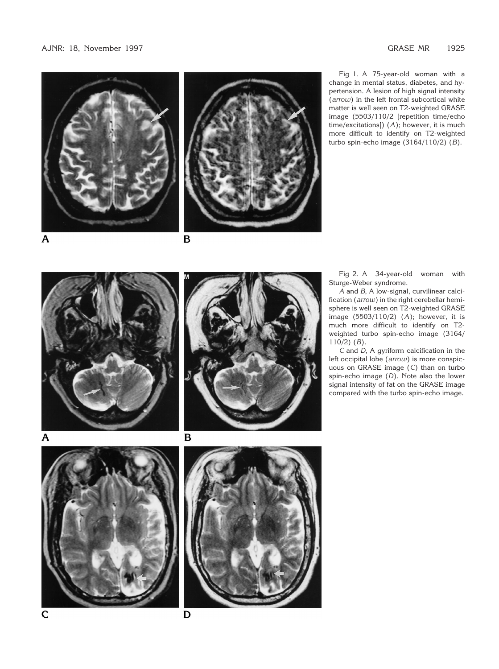#### AJNR: 18, November 1997 GRASE MR 1925





B

Fig 1. A 75-year-old woman with a change in mental status, diabetes, and hypertension. A lesion of high signal intensity (*arrow*) in the left frontal subcortical white matter is well seen on T2-weighted GRASE image (5503/110/2 [repetition time/echo time/excitations]) (*A*); however, it is much more difficult to identify on T2-weighted turbo spin-echo image (3164/110/2) (*B*).

Fig 2. A 34-year-old woman with

*A* and *B*, A low-signal, curvilinear calcification (*arrow*) in the right cerebellar hemisphere is well seen on T2-weighted GRASE image (5503/110/2) (*A*); however, it is much more difficult to identify on T2 weighted turbo spin-echo image (3164/

*C* and *D*, A gyriform calcification in the left occipital lobe (*arrow*) is more conspicuous on GRASE image (*C*) than on turbo spin-echo image (*D*). Note also the lower signal intensity of fat on the GRASE image compared with the turbo spin-echo image.

Sturge-Weber syndrome.

110/2) (*B*).



 $\mathsf{A}$ 



B



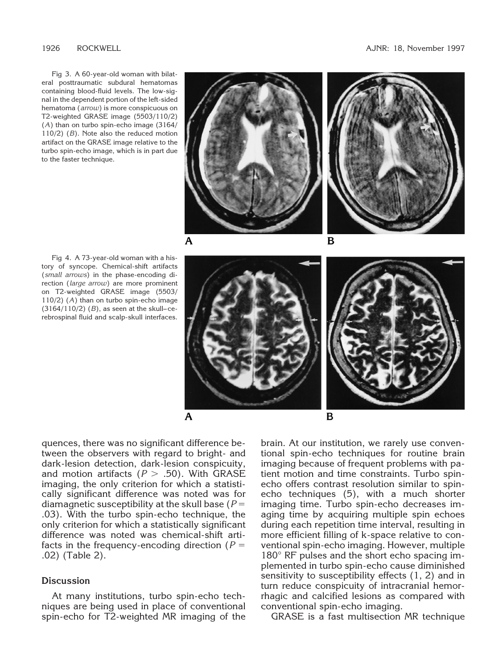Fig 3. A 60-year-old woman with bilateral posttraumatic subdural hematomas containing blood-fluid levels. The low-signal in the dependent portion of the left-sided hematoma (*arrow*) is more conspicuous on T2-weighted GRASE image (5503/110/2) (*A*) than on turbo spin-echo image (3164/ 110/2) (*B*). Note also the reduced motion artifact on the GRASE image relative to the turbo spin-echo image, which is in part due to the faster technique.



B

on T2-weighted GRASE image (5503/ 110/2) (*A*) than on turbo spin-echo image (3164/110/2) (*B*), as seen at the skull–cerebrospinal fluid and scalp-skull interfaces.

Fig 4. A 73-year-old woman with a history of syncope. Chemical-shift artifacts (*small arrows*) in the phase-encoding direction (*large arrow*) are more prominent

A

quences, there was no significant difference between the observers with regard to bright- and dark-lesion detection, dark-lesion conspicuity, and motion artifacts ( $P > .50$ ). With GRASE imaging, the only criterion for which a statistically significant difference was noted was for diamagnetic susceptibility at the skull base  $(P =$ .03). With the turbo spin-echo technique, the only criterion for which a statistically significant difference was noted was chemical-shift artifacts in the frequency-encoding direction  $(P =$ .02) (Table 2).

# **Discussion**

At many institutions, turbo spin-echo techniques are being used in place of conventional spin-echo for T2-weighted MR imaging of the

brain. At our institution, we rarely use conventional spin-echo techniques for routine brain imaging because of frequent problems with patient motion and time constraints. Turbo spinecho offers contrast resolution similar to spinecho techniques (5), with a much shorter imaging time. Turbo spin-echo decreases imaging time by acquiring multiple spin echoes during each repetition time interval, resulting in more efficient filling of k-space relative to conventional spin-echo imaging. However, multiple 180° RF pulses and the short echo spacing implemented in turbo spin-echo cause diminished sensitivity to susceptibility effects (1, 2) and in turn reduce conspicuity of intracranial hemorrhagic and calcified lesions as compared with conventional spin-echo imaging.

GRASE is a fast multisection MR technique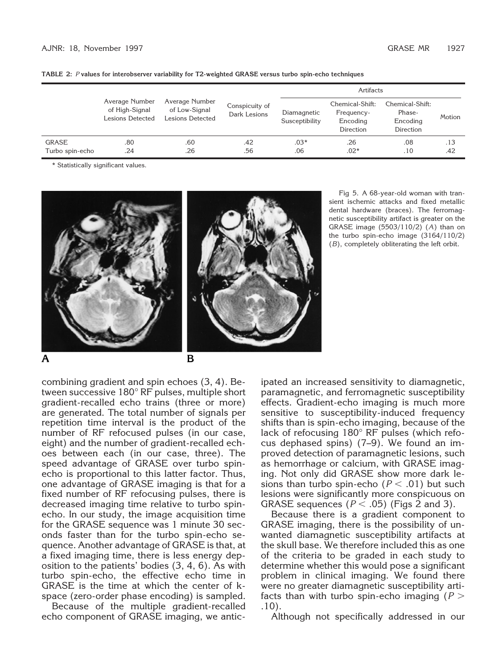|--|

|                                 |                                                      |                                                     |                                |                               | Artifacts                                              |                                                    |            |
|---------------------------------|------------------------------------------------------|-----------------------------------------------------|--------------------------------|-------------------------------|--------------------------------------------------------|----------------------------------------------------|------------|
|                                 | Average Number<br>of High-Signal<br>Lesions Detected | Average Number<br>of Low-Signal<br>Lesions Detected | Conspicuity of<br>Dark Lesions | Diamagnetic<br>Susceptibility | Chemical-Shift:<br>Frequency-<br>Encoding<br>Direction | Chemical-Shift:<br>Phase-<br>Encoding<br>Direction | Motion     |
| <b>GRASE</b><br>Turbo spin-echo | .80<br>.24                                           | .60<br>.26                                          | .42<br>.56                     | $.03*$<br>.06                 | .26<br>$.02*$                                          | .08<br>.10                                         | .13<br>.42 |

\* Statistically significant values.





Fig 5. A 68-year-old woman with transient ischemic attacks and fixed metallic dental hardware (braces). The ferromagnetic susceptibility artifact is greater on the GRASE image (5503/110/2) (*A*) than on the turbo spin-echo image (3164/110/2) (*B*), completely obliterating the left orbit.

combining gradient and spin echoes (3, 4). Between successive 180° RF pulses, multiple short gradient-recalled echo trains (three or more) are generated. The total number of signals per repetition time interval is the product of the number of RF refocused pulses (in our case, eight) and the number of gradient-recalled echoes between each (in our case, three). The speed advantage of GRASE over turbo spinecho is proportional to this latter factor. Thus, one advantage of GRASE imaging is that for a fixed number of RF refocusing pulses, there is decreased imaging time relative to turbo spinecho. In our study, the image acquisition time for the GRASE sequence was 1 minute 30 seconds faster than for the turbo spin-echo sequence. Another advantage of GRASE is that, at a fixed imaging time, there is less energy deposition to the patients' bodies (3, 4, 6). As with turbo spin-echo, the effective echo time in GRASE is the time at which the center of kspace (zero-order phase encoding) is sampled.

Because of the multiple gradient-recalled echo component of GRASE imaging, we antic-

ipated an increased sensitivity to diamagnetic, paramagnetic, and ferromagnetic susceptibility effects. Gradient-echo imaging is much more sensitive to susceptibility-induced frequency shifts than is spin-echo imaging, because of the lack of refocusing 180° RF pulses (which refocus dephased spins) (7–9). We found an improved detection of paramagnetic lesions, such as hemorrhage or calcium, with GRASE imaging. Not only did GRASE show more dark lesions than turbo spin-echo ( $P < .01$ ) but such lesions were significantly more conspicuous on GRASE sequences  $(P < .05)$  (Figs 2 and 3).

Because there is a gradient component to GRASE imaging, there is the possibility of unwanted diamagnetic susceptibility artifacts at the skull base. We therefore included this as one of the criteria to be graded in each study to determine whether this would pose a significant problem in clinical imaging. We found there were no greater diamagnetic susceptibility artifacts than with turbo spin-echo imaging ( $P >$ .10).

Although not specifically addressed in our